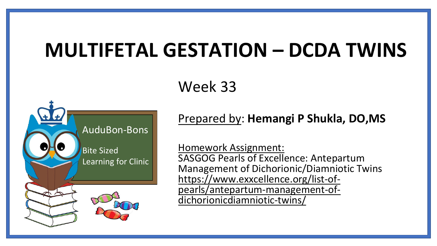# **MULTIFETAL GESTATION – DCDA TWINS**

### Week 33



#### Prepared by: **Hemangi P Shukla, DO,MS**

Homework Assignment: SASGOG Pearls of Excellence: Antepartum Management of Dichorionic/Diamniotic Twins https://www.exxcellence.org/list-of[pearls/antepartum-management-of](https://www.exxcellence.org/list-of-pearls/antepartum-management-of-dichorionicdiamniotic-twins/)dichorionicdiamniotic-twins/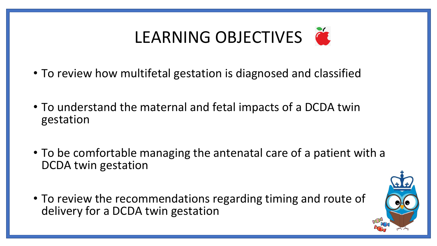# LEARNING OBJECTIVES

- To review how multifetal gestation is diagnosed and classified
- To understand the maternal and fetal impacts of a DCDA twin gestation
- To be comfortable managing the antenatal care of a patient with a DCDA twin gestation
- To review the recommendations regarding timing and route of delivery for a DCDA twin gestation

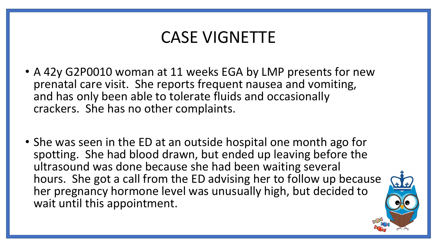### CASE VIGNETTE

- A 42y G2P0010 woman at 11 weeks EGA by LMP presents for new prenatal care visit. She reports frequent nausea and vomiting, and has only been able to tolerate fluids and occasionally crackers. She has no other complaints.
- She was seen in the ED at an outside hospital one month ago for spotting. She had blood drawn, but ended up leaving before the ultrasound was done because she had been waiting several hours. She got a call from the ED advising her to follow up because her pregnancy hormone level was unusually high, but decided to wait until this appointment.

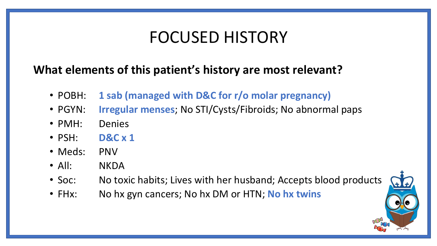## FOCUSED HISTORY

#### **What elements of this patient's history are most relevant?**

- POBH: **1 sab (managed with D&C for r/o molar pregnancy)**
- PGYN: **Irregular menses**; No STI/Cysts/Fibroids; No abnormal paps
- PMH: Denies
- PSH: **D&C x 1**
- Meds: PNV
- All: NKDA
- Soc: No toxic habits; Lives with her husband; Accepts blood products
- FHx: No hx gyn cancers; No hx DM or HTN; **No hx twins**

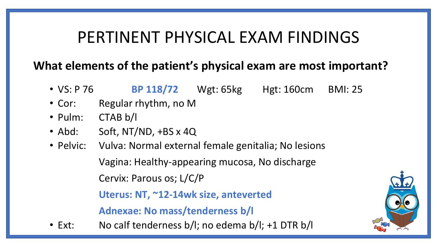### PERTINENT PHYSICAL EXAM FINDINGS

#### **What elements of the patient's physical exam are most important?**

- VS: P 76 **BP 118/72** Wgt: 65kg Hgt: 160cm BMI: 25
- Cor: Regular rhythm, no M
- Pulm: CTAB b/l
- Abd: Soft, NT/ND, +BS x 4Q
- Pelvic: Vulva: Normal external female genitalia; No lesions Vagina: Healthy-appearing mucosa, No discharge

Cervix: Parous os; L/C/P

**Uterus: NT, ~12-14wk size, anteverted**

**Adnexae: No mass/tenderness b/l**

• Ext: No calf tenderness b/l; no edema b/l; +1 DTR b/l

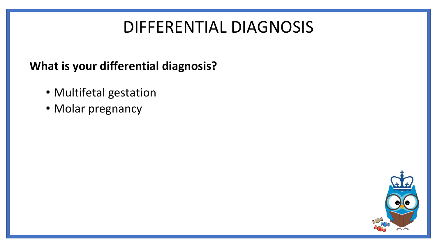# DIFFERENTIAL DIAGNOSIS

#### **What is your differential diagnosis?**

- Multifetal gestation
- Molar pregnancy

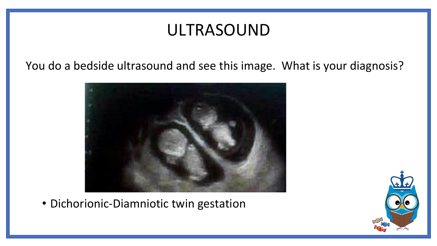# ULTRASOUND

You do a bedside ultrasound and see this image. What is your diagnosis?



• Dichorionic-Diamniotic twin gestation

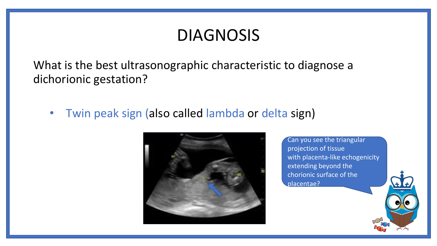### DIAGNOSIS

What is the best ultrasonographic characteristic to diagnose a dichorionic gestation?

• Twin peak sign (also called lambda or delta sign)



Can you see the triangular projection of tissue with placenta-like echogenicity extending beyond the chorionic surface of the placentae?

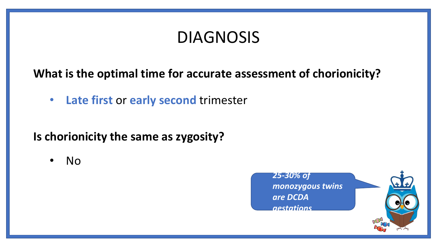# DIAGNOSIS

#### **What is the optimal time for accurate assessment of chorionicity?**

• **Late first** or **early second** trimester

#### **Is chorionicity the same as zygosity?**

• No

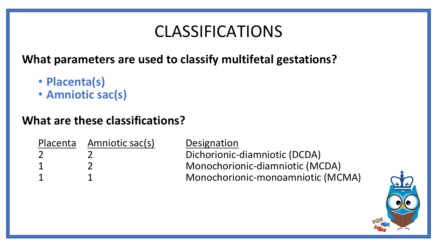# CLASSIFICATIONS

**What parameters are used to classify multifetal gestations?**

- **Placenta(s)**
- **Amniotic sac(s)**

#### **What are these classifications?**

| Placenta Amniotic sac(s) | Designation                       |
|--------------------------|-----------------------------------|
|                          | Dichorionic-diamniotic (DCDA)     |
|                          | Monochorionic-diamniotic (MCDA)   |
|                          | Monochorionic-monoamniotic (MCMA) |

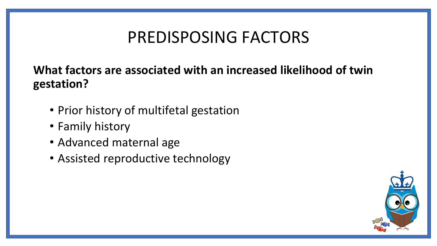# PREDISPOSING FACTORS

#### **What factors are associated with an increased likelihood of twin gestation?**

- Prior history of multifetal gestation
- Family history
- Advanced maternal age
- Assisted reproductive technology

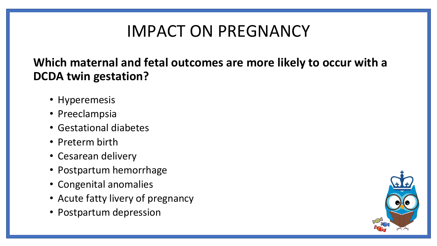# IMPACT ON PREGNANCY

#### **Which maternal and fetal outcomes are more likely to occur with a DCDA twin gestation?**

- Hyperemesis
- Preeclampsia
- Gestational diabetes
- Preterm birth
- Cesarean delivery
- Postpartum hemorrhage
- Congenital anomalies
- Acute fatty livery of pregnancy
- Postpartum depression

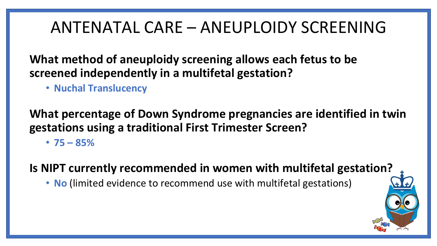### ANTENATAL CARE – ANEUPLOIDY SCREENING

**What method of aneuploidy screening allows each fetus to be screened independently in a multifetal gestation?**

• **Nuchal Translucency**

**What percentage of Down Syndrome pregnancies are identified in twin gestations using a traditional First Trimester Screen?**

 $\cdot$  75 – 85%

**Is NIPT currently recommended in women with multifetal gestation?**

• **No** (limited evidence to recommend use with multifetal gestations)

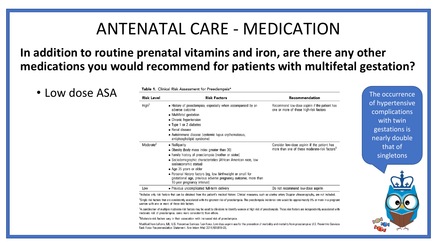### ANTENATAL CARE - MEDICATION

#### **In addition to routine prenatal vitamins and iron, are there any other medications you would recommend for patients with multifetal gestation?**

| • Low dose ASA | <b>Risk Level</b>     | <b>Risk Factors</b>                                                                                                                                                                                                                                                                                                                                                                                        | Recommendation                                                                                            | The occurrence                                                                  |
|----------------|-----------------------|------------------------------------------------------------------------------------------------------------------------------------------------------------------------------------------------------------------------------------------------------------------------------------------------------------------------------------------------------------------------------------------------------------|-----------------------------------------------------------------------------------------------------------|---------------------------------------------------------------------------------|
|                | High                  | • History of preeclampsia, especially when accompanied by an<br>adverse outcome<br>• Multifetal gestation<br>• Chronic hypertension<br>• Type 1 or 2 diabetes<br>• Renal disease<br>• Autoimmune disease (systemic lupus erythematosus,<br>antiphospholipid syndrome)                                                                                                                                      | Recommend low-dose aspirin if the patient has<br>one or more of these high-risk factors                   | of hypertensive<br>complications<br>with twin<br>gestations is<br>nearly double |
|                | Moderate <sup>#</sup> | • Nulliparity<br>• Obesity (body mass index greater than 30)<br>• Family history of preeclampsia (mother or sister)<br>• Sociodemographic characteristics (African American race, low<br>socioeconomic status)<br>• Age 35 years or older<br>• Personal history factors (eg, low birthweight or small for<br>gestational age, previous adverse pregnancy outcome, more than<br>10-year pregnancy interval) | Consider low-dose aspirin if the patient has<br>more than one of these moderate-risk factors <sup>3</sup> | that of<br>singletons                                                           |
|                | Low                   | • Previous uncomplicated full-term delivery                                                                                                                                                                                                                                                                                                                                                                | Do not recommend low-dose aspirin                                                                         |                                                                                 |

"Single risk factors that are consistently associated with the greatest risk of preeclampsia. The preeclampsia incidence rate would be approximately 8% or more in a pregnant woman with one or more of these risk factors.

\*A combination of multiple moderate-risk factors may be used by clinicians to identify women at high risk of preeclampsia. These risk factors are independently associated with moderate risk of preeclampsia, some more consistently than others.

<sup>§</sup>Moderate-risk factors vary in their association with increased risk of preeclampsia.

Modified from LeFevre, ML. U.S. Preventive Services Task Force. Low-dose aspirin use for the prevention of morbidity and mortality from preeclampsia: U.S. Preventive Services Task Force Recommendation Statement. Ann Intern Med 2014;161:819-26.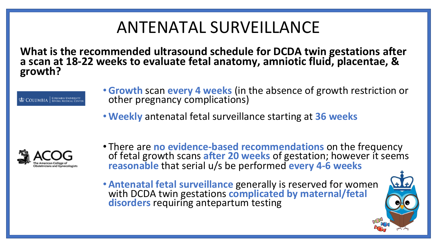# ANTENATAL SURVEILLANCE

**What is the recommended ultrasound schedule for DCDA twin gestations after a scan at 18-22 weeks to evaluate fetal anatomy, amniotic fluid, placentae, & growth?**

 $\Phi$  COLUMBIA EQUIMBIA UNIVERSITY

- •**Growth** scan **every 4 weeks** (in the absence of growth restriction or other pregnancy complications)
- •**Weekly** antenatal fetal surveillance starting at **36 weeks**



- There are **no evidence-based recommendations** on the frequency of fetal growth scans **after 20 weeks** of gestation; however it seems **reasonable** that serial u/s be performed **every 4-6 weeks**
- •**Antenatal fetal surveillance** generally is reserved for women with DCDA twin gestations **complicated by maternal/fetal disorders** requiring antepartum testing

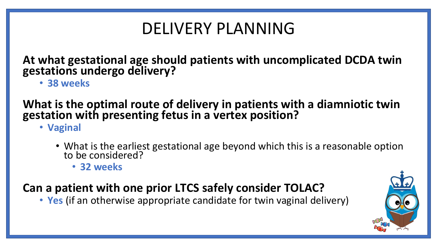# DELIVERY PLANNING

**At what gestational age should patients with uncomplicated DCDA twin gestations undergo delivery?**

• **38 weeks**

#### **What is the optimal route of delivery in patients with a diamniotic twin gestation with presenting fetus in a vertex position?**

• **Vaginal**

- What is the earliest gestational age beyond which this is a reasonable option to be considered?
	- **32 weeks**

#### **Can a patient with one prior LTCS safely consider TOLAC?**

• **Yes** (if an otherwise appropriate candidate for twin vaginal delivery)

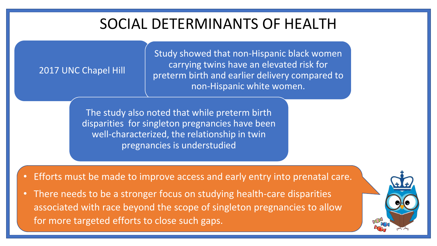### SOCIAL DETERMINANTS OF HEALTH

#### 2017 UNC Chapel Hill

Study showed that non-Hispanic black women carrying twins have an elevated risk for preterm birth and earlier delivery compared to non-Hispanic white women.

The study also noted that while preterm birth disparities for singleton pregnancies have been well-characterized, the relationship in twin pregnancies is understudied

• Efforts must be made to improve access and early entry into prenatal care.

• There needs to be a stronger focus on studying health-care disparities associated with race beyond the scope of singleton pregnancies to allow for more targeted efforts to close such gaps.

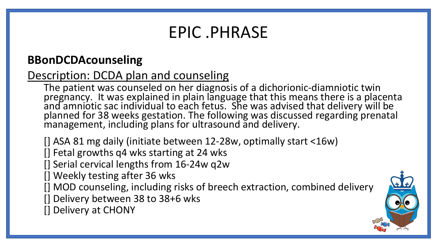## EPIC .PHRASE

#### **BBonDCDAcounseling**

#### Description: DCDA plan and counseling

The patient was counseled on her diagnosis of a dichorionic-diamniotic twin pregnancy. It was explained in plain language that this means there is a placenta and amniotic sac individual to each fetus. She was advised that delivery will be planned for 38 weeks gestation. The following was discussed regarding prenatal management, including plans for ultrasound and delivery.

[] ASA 81 mg daily (initiate between 12-28w, optimally start <16w)

[] Fetal growths q4 wks starting at 24 wks

[] Serial cervical lengths from 16-24w q2w

[] Weekly testing after 36 wks

[] MOD counseling, including risks of breech extraction, combined delivery

[] Delivery between 38 to 38+6 wks

[] Delivery at CHONY

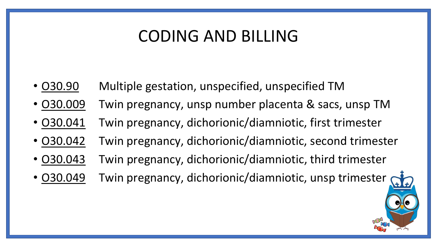### CODING AND BILLING

- O30.90 Multiple gestation, unspecified, unspecified TM
- O30.009 Twin pregnancy, unsp number placenta & sacs, unsp TM
- O30.041 Twin pregnancy, dichorionic/diamniotic, first trimester
- O30.042 Twin pregnancy, dichorionic/diamniotic, second trimester
- O30.043 Twin pregnancy, dichorionic/diamniotic, third trimester
- 030.049 Twin pregnancy, dichorionic/diamniotic, unsp trimester